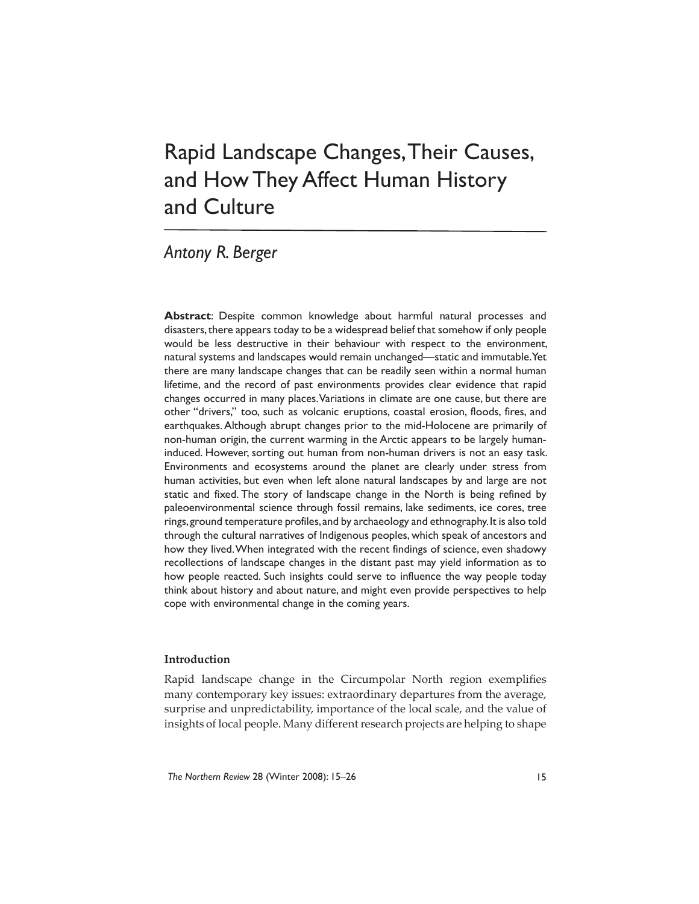# Rapid Landscape Changes, Their Causes, and How They Affect Human History and Culture

# *Antony R. Berger*

**Abstract**: Despite common knowledge about harmful natural processes and disasters, there appears today to be a widespread belief that somehow if only people would be less destructive in their behaviour with respect to the environment, natural systems and landscapes would remain unchanged—static and immutable. Yet there are many landscape changes that can be readily seen within a normal human lifetime, and the record of past environments provides clear evidence that rapid changes occurred in many places. Variations in climate are one cause, but there are other "drivers," too, such as volcanic eruptions, coastal erosion, floods, fires, and earthquakes. Although abrupt changes prior to the mid-Holocene are primarily of non-human origin, the current warming in the Arctic appears to be largely humaninduced. However, sorting out human from non-human drivers is not an easy task. Environments and ecosystems around the planet are clearly under stress from human activities, but even when left alone natural landscapes by and large are not static and fixed. The story of landscape change in the North is being refined by paleoenvironmental science through fossil remains, lake sediments, ice cores, tree rings, ground temperature profiles, and by archaeology and ethnography. It is also told through the cultural narratives of Indigenous peoples, which speak of ancestors and how they lived. When integrated with the recent findings of science, even shadowy recollections of landscape changes in the distant past may yield information as to how people reacted. Such insights could serve to influence the way people today think about history and about nature, and might even provide perspectives to help cope with environmental change in the coming years.

# **Introduction**

Rapid landscape change in the Circumpolar North region exemplifies many contemporary key issues: extraordinary departures from the average, surprise and unpredictability, importance of the local scale, and the value of insights of local people. Many different research projects are helping to shape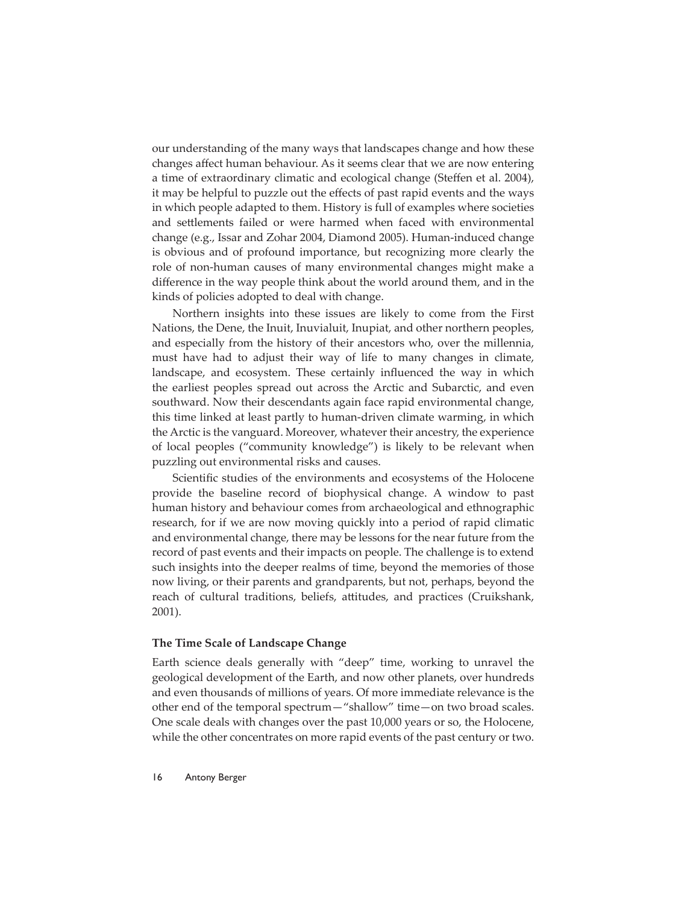our understanding of the many ways that landscapes change and how these changes affect human behaviour. As it seems clear that we are now entering a time of extraordinary climatic and ecological change (Steffen et al. 2004), it may be helpful to puzzle out the effects of past rapid events and the ways in which people adapted to them. History is full of examples where societies and settlements failed or were harmed when faced with environmental change (e.g., Issar and Zohar 2004, Diamond 2005). Human-induced change is obvious and of profound importance, but recognizing more clearly the role of non-human causes of many environmental changes might make a difference in the way people think about the world around them, and in the kinds of policies adopted to deal with change.

Northern insights into these issues are likely to come from the First Nations, the Dene, the Inuit, Inuvialuit, Inupiat, and other northern peoples, and especially from the history of their ancestors who, over the millennia, must have had to adjust their way of life to many changes in climate, landscape, and ecosystem. These certainly influenced the way in which the earliest peoples spread out across the Arctic and Subarctic, and even southward. Now their descendants again face rapid environmental change, this time linked at least partly to human-driven climate warming, in which the Arctic is the vanguard. Moreover, whatever their ancestry, the experience of local peoples ("community knowledge") is likely to be relevant when puzzling out environmental risks and causes.

Scientific studies of the environments and ecosystems of the Holocene provide the baseline record of biophysical change. A window to past human history and behaviour comes from archaeological and ethnographic research, for if we are now moving quickly into a period of rapid climatic and environmental change, there may be lessons for the near future from the record of past events and their impacts on people. The challenge is to extend such insights into the deeper realms of time, beyond the memories of those now living, or their parents and grandparents, but not, perhaps, beyond the reach of cultural traditions, beliefs, attitudes, and practices (Cruikshank, 2001).

#### **The Time Scale of Landscape Change**

Earth science deals generally with "deep" time, working to unravel the geological development of the Earth, and now other planets, over hundreds and even thousands of millions of years. Of more immediate relevance is the other end of the temporal spectrum—"shallow" time—on two broad scales. One scale deals with changes over the past 10,000 years or so, the Holocene, while the other concentrates on more rapid events of the past century or two.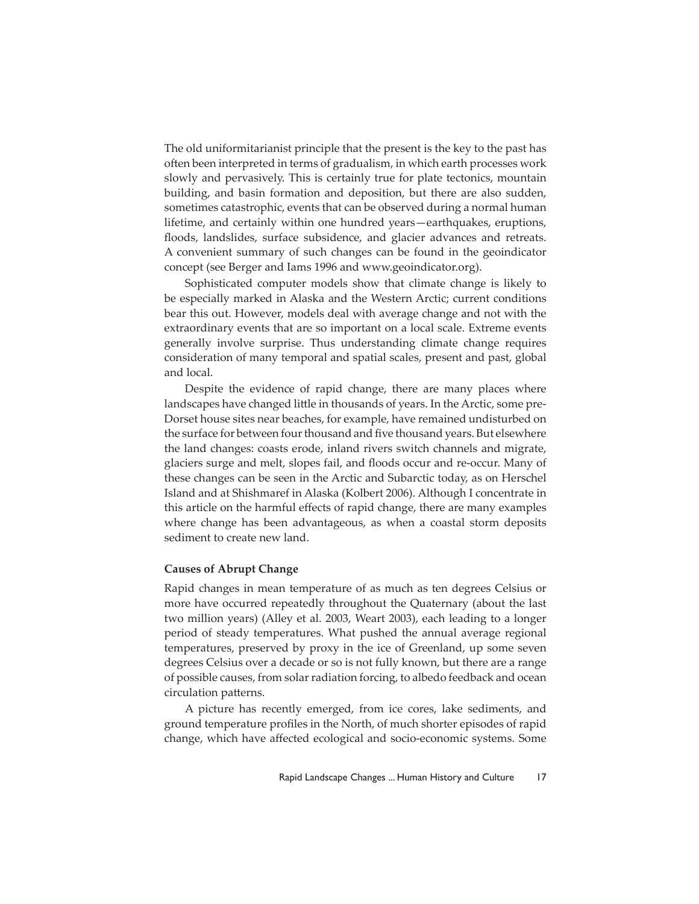The old uniformitarianist principle that the present is the key to the past has often been interpreted in terms of gradualism, in which earth processes work slowly and pervasively. This is certainly true for plate tectonics, mountain building, and basin formation and deposition, but there are also sudden, sometimes catastrophic, events that can be observed during a normal human lifetime, and certainly within one hundred years—earthquakes, eruptions, floods, landslides, surface subsidence, and glacier advances and retreats. A convenient summary of such changes can be found in the geoindicator concept (see Berger and Iams 1996 and www.geoindicator.org).

Sophisticated computer models show that climate change is likely to be especially marked in Alaska and the Western Arctic; current conditions bear this out. However, models deal with average change and not with the extraordinary events that are so important on a local scale. Extreme events generally involve surprise. Thus understanding climate change requires consideration of many temporal and spatial scales, present and past, global and local.

Despite the evidence of rapid change, there are many places where landscapes have changed little in thousands of years. In the Arctic, some pre-Dorset house sites near beaches, for example, have remained undisturbed on the surface for between four thousand and five thousand years. But elsewhere the land changes: coasts erode, inland rivers switch channels and migrate, glaciers surge and melt, slopes fail, and floods occur and re-occur. Many of these changes can be seen in the Arctic and Subarctic today, as on Herschel Island and at Shishmaref in Alaska (Kolbert 2006). Although I concentrate in this article on the harmful effects of rapid change, there are many examples where change has been advantageous, as when a coastal storm deposits sediment to create new land.

#### **Causes of Abrupt Change**

Rapid changes in mean temperature of as much as ten degrees Celsius or more have occurred repeatedly throughout the Quaternary (about the last two million years) (Alley et al. 2003, Weart 2003), each leading to a longer period of steady temperatures. What pushed the annual average regional temperatures, preserved by proxy in the ice of Greenland, up some seven degrees Celsius over a decade or so is not fully known, but there are a range of possible causes, from solar radiation forcing, to albedo feedback and ocean circulation patterns.

A picture has recently emerged, from ice cores, lake sediments, and ground temperature profiles in the North, of much shorter episodes of rapid change, which have affected ecological and socio-economic systems. Some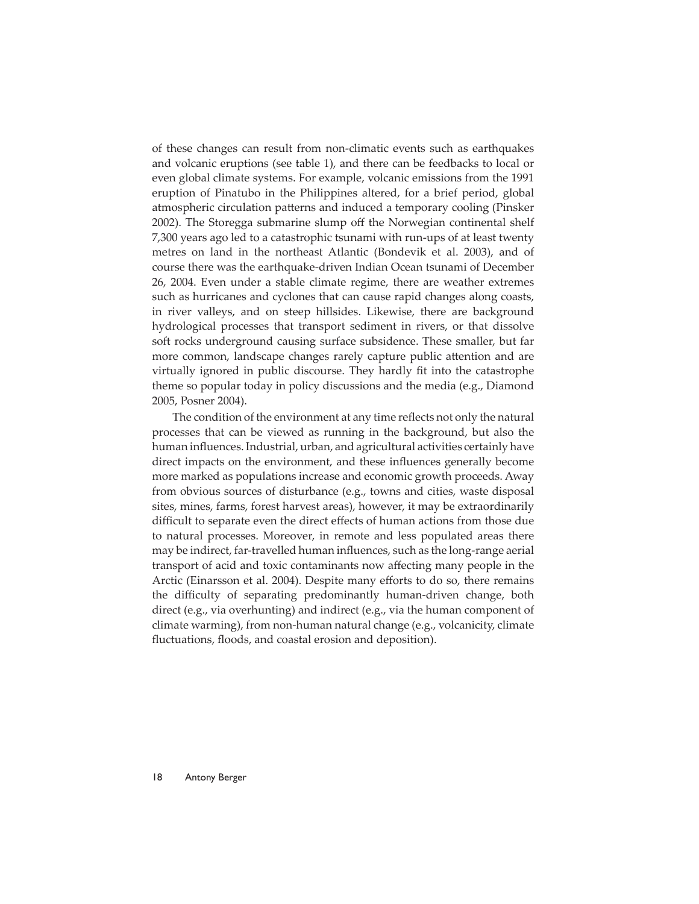of these changes can result from non-climatic events such as earthquakes and volcanic eruptions (see table 1), and there can be feedbacks to local or even global climate systems. For example, volcanic emissions from the 1991 eruption of Pinatubo in the Philippines altered, for a brief period, global atmospheric circulation patterns and induced a temporary cooling (Pinsker 2002). The Storegga submarine slump off the Norwegian continental shelf 7,300 years ago led to a catastrophic tsunami with run-ups of at least twenty metres on land in the northeast Atlantic (Bondevik et al. 2003), and of course there was the earthquake-driven Indian Ocean tsunami of December 26, 2004. Even under a stable climate regime, there are weather extremes such as hurricanes and cyclones that can cause rapid changes along coasts, in river valleys, and on steep hillsides. Likewise, there are background hydrological processes that transport sediment in rivers, or that dissolve soft rocks underground causing surface subsidence. These smaller, but far more common, landscape changes rarely capture public attention and are virtually ignored in public discourse. They hardly fit into the catastrophe theme so popular today in policy discussions and the media (e.g., Diamond 2005, Posner 2004).

The condition of the environment at any time reflects not only the natural processes that can be viewed as running in the background, but also the human influences. Industrial, urban, and agricultural activities certainly have direct impacts on the environment, and these influences generally become more marked as populations increase and economic growth proceeds. Away from obvious sources of disturbance (e.g., towns and cities, waste disposal sites, mines, farms, forest harvest areas), however, it may be extraordinarily difficult to separate even the direct effects of human actions from those due to natural processes. Moreover, in remote and less populated areas there may be indirect, far-travelled human influences, such as the long-range aerial transport of acid and toxic contaminants now affecting many people in the Arctic (Einarsson et al. 2004). Despite many efforts to do so, there remains the difficulty of separating predominantly human-driven change, both direct (e.g., via overhunting) and indirect (e.g., via the human component of climate warming), from non-human natural change (e.g., volcanicity, climate fluctuations, floods, and coastal erosion and deposition).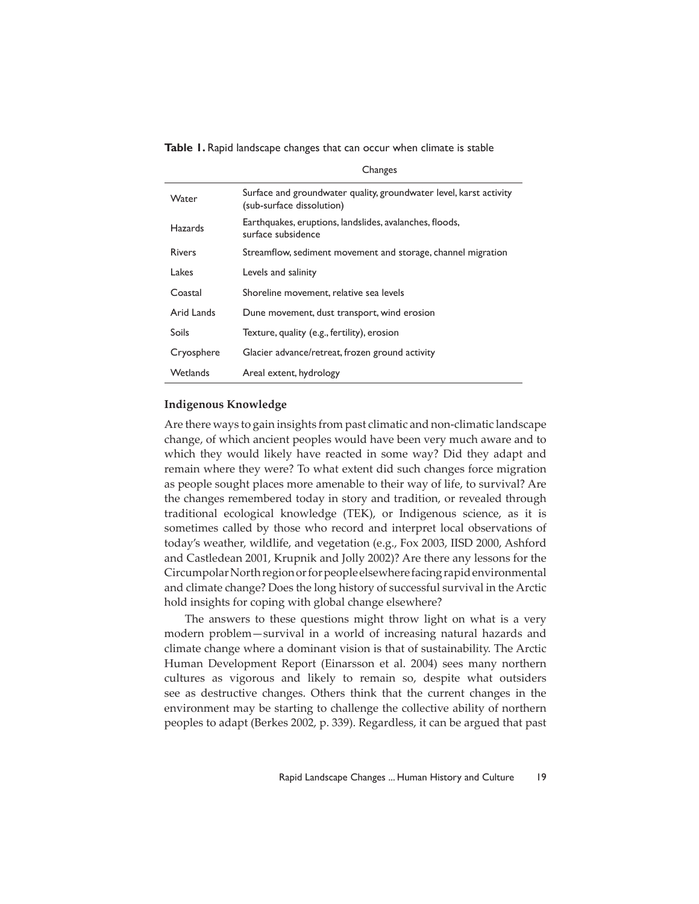**Table 1.** Rapid landscape changes that can occur when climate is stable

|                | Changes                                                                                         |
|----------------|-------------------------------------------------------------------------------------------------|
| Water          | Surface and groundwater quality, groundwater level, karst activity<br>(sub-surface dissolution) |
| <b>Hazards</b> | Earthquakes, eruptions, landslides, avalanches, floods,<br>surface subsidence                   |
| <b>Rivers</b>  | Streamflow, sediment movement and storage, channel migration                                    |
| Lakes          | Levels and salinity                                                                             |
| Coastal        | Shoreline movement, relative sea levels                                                         |
| Arid Lands     | Dune movement, dust transport, wind erosion                                                     |
| Soils          | Texture, quality (e.g., fertility), erosion                                                     |
| Cryosphere     | Glacier advance/retreat, frozen ground activity                                                 |
| Wetlands       | Areal extent, hydrology                                                                         |

#### **Indigenous Knowledge**

Are there ways to gain insights from past climatic and non-climatic landscape change, of which ancient peoples would have been very much aware and to which they would likely have reacted in some way? Did they adapt and remain where they were? To what extent did such changes force migration as people sought places more amenable to their way of life, to survival? Are the changes remembered today in story and tradition, or revealed through traditional ecological knowledge (TEK), or Indigenous science, as it is sometimes called by those who record and interpret local observations of today's weather, wildlife, and vegetation (e.g., Fox 2003, IISD 2000, Ashford and Castledean 2001, Krupnik and Jolly 2002)? Are there any lessons for the Circumpolar North region or for people elsewhere facing rapid environmental and climate change? Does the long history of successful survival in the Arctic hold insights for coping with global change elsewhere?

The answers to these questions might throw light on what is a very modern problem—survival in a world of increasing natural hazards and climate change where a dominant vision is that of sustainability. The Arctic Human Development Report (Einarsson et al. 2004) sees many northern cultures as vigorous and likely to remain so, despite what outsiders see as destructive changes. Others think that the current changes in the environment may be starting to challenge the collective ability of northern peoples to adapt (Berkes 2002, p. 339). Regardless, it can be argued that past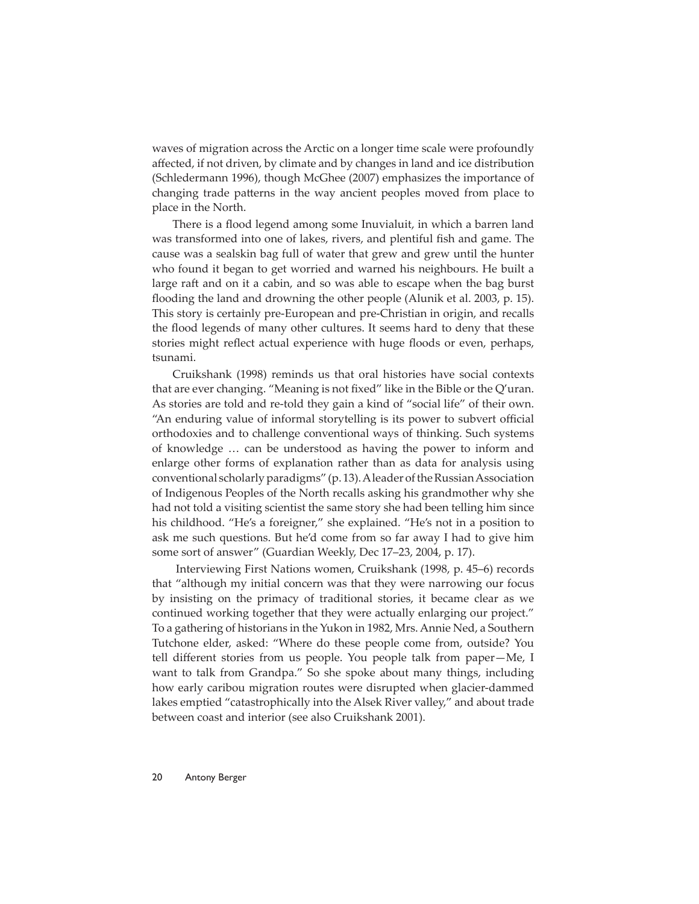waves of migration across the Arctic on a longer time scale were profoundly affected, if not driven, by climate and by changes in land and ice distribution (Schledermann 1996), though McGhee (2007) emphasizes the importance of changing trade patterns in the way ancient peoples moved from place to place in the North.

There is a flood legend among some Inuvialuit, in which a barren land was transformed into one of lakes, rivers, and plentiful fish and game. The cause was a sealskin bag full of water that grew and grew until the hunter who found it began to get worried and warned his neighbours. He built a large raft and on it a cabin, and so was able to escape when the bag burst flooding the land and drowning the other people (Alunik et al. 2003, p. 15). This story is certainly pre-European and pre-Christian in origin, and recalls the flood legends of many other cultures. It seems hard to deny that these stories might reflect actual experience with huge floods or even, perhaps, tsunami.

Cruikshank (1998) reminds us that oral histories have social contexts that are ever changing. "Meaning is not fixed" like in the Bible or the Q'uran. As stories are told and re-told they gain a kind of "social life" of their own. "An enduring value of informal storytelling is its power to subvert official orthodoxies and to challenge conventional ways of thinking. Such systems of knowledge … can be understood as having the power to inform and enlarge other forms of explanation rather than as data for analysis using conventional scholarly paradigms" (p. 13). A leader of the Russian Association of Indigenous Peoples of the North recalls asking his grandmother why she had not told a visiting scientist the same story she had been telling him since his childhood. "He's a foreigner," she explained. "He's not in a position to ask me such questions. But he'd come from so far away I had to give him some sort of answer" (Guardian Weekly, Dec 17–23, 2004, p. 17).

 Interviewing First Nations women, Cruikshank (1998, p. 45–6) records that "although my initial concern was that they were narrowing our focus by insisting on the primacy of traditional stories, it became clear as we continued working together that they were actually enlarging our project." To a gathering of historians in the Yukon in 1982, Mrs. Annie Ned, a Southern Tutchone elder, asked: "Where do these people come from, outside? You tell different stories from us people. You people talk from paper-Me, I want to talk from Grandpa." So she spoke about many things, including how early caribou migration routes were disrupted when glacier-dammed lakes emptied "catastrophically into the Alsek River valley," and about trade between coast and interior (see also Cruikshank 2001).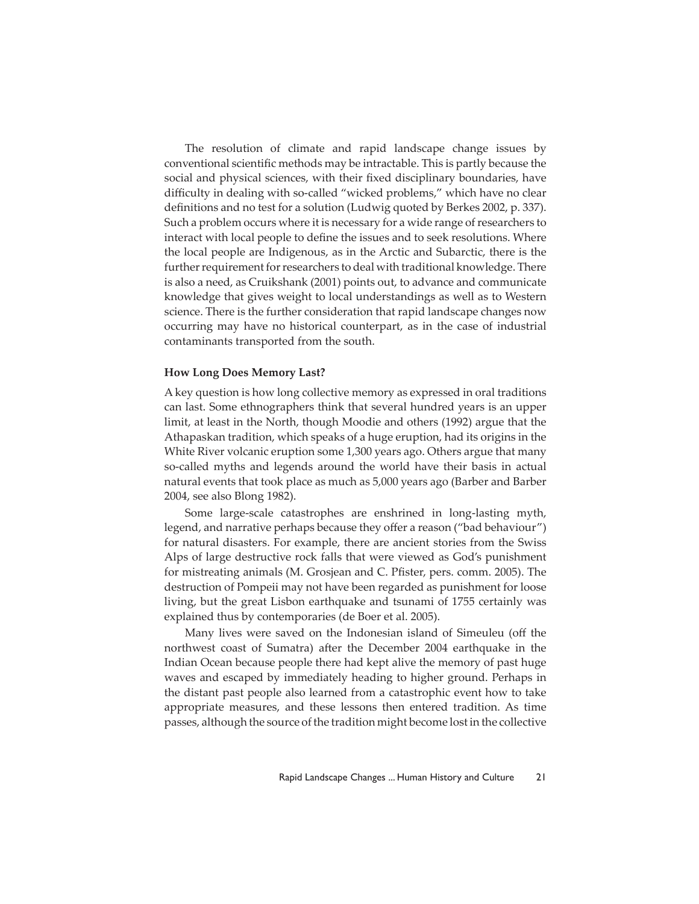The resolution of climate and rapid landscape change issues by conventional scientific methods may be intractable. This is partly because the social and physical sciences, with their fixed disciplinary boundaries, have difficulty in dealing with so-called "wicked problems," which have no clear definitions and no test for a solution (Ludwig quoted by Berkes 2002, p. 337). Such a problem occurs where it is necessary for a wide range of researchers to interact with local people to define the issues and to seek resolutions. Where the local people are Indigenous, as in the Arctic and Subarctic, there is the further requirement for researchers to deal with traditional knowledge. There is also a need, as Cruikshank (2001) points out, to advance and communicate knowledge that gives weight to local understandings as well as to Western science. There is the further consideration that rapid landscape changes now occurring may have no historical counterpart, as in the case of industrial contaminants transported from the south.

#### **How Long Does Memory Last?**

A key question is how long collective memory as expressed in oral traditions can last. Some ethnographers think that several hundred years is an upper limit, at least in the North, though Moodie and others (1992) argue that the Athapaskan tradition, which speaks of a huge eruption, had its origins in the White River volcanic eruption some 1,300 years ago. Others argue that many so-called myths and legends around the world have their basis in actual natural events that took place as much as 5,000 years ago (Barber and Barber 2004, see also Blong 1982).

Some large-scale catastrophes are enshrined in long-lasting myth, legend, and narrative perhaps because they offer a reason ("bad behaviour") for natural disasters. For example, there are ancient stories from the Swiss Alps of large destructive rock falls that were viewed as God's punishment for mistreating animals (M. Grosjean and C. Pfister, pers. comm. 2005). The destruction of Pompeii may not have been regarded as punishment for loose living, but the great Lisbon earthquake and tsunami of 1755 certainly was explained thus by contemporaries (de Boer et al. 2005).

Many lives were saved on the Indonesian island of Simeuleu (off the northwest coast of Sumatra) after the December 2004 earthquake in the Indian Ocean because people there had kept alive the memory of past huge waves and escaped by immediately heading to higher ground. Perhaps in the distant past people also learned from a catastrophic event how to take appropriate measures, and these lessons then entered tradition. As time passes, although the source of the tradition might become lost in the collective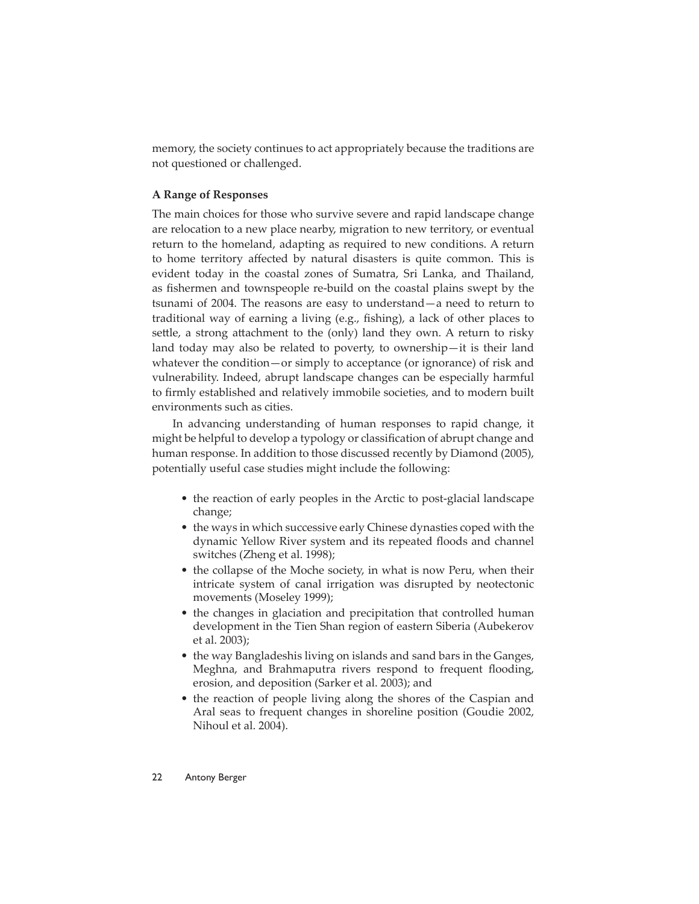memory, the society continues to act appropriately because the traditions are not questioned or challenged.

# **A Range of Responses**

The main choices for those who survive severe and rapid landscape change are relocation to a new place nearby, migration to new territory, or eventual return to the homeland, adapting as required to new conditions. A return to home territory affected by natural disasters is quite common. This is evident today in the coastal zones of Sumatra, Sri Lanka, and Thailand, as fishermen and townspeople re-build on the coastal plains swept by the tsunami of 2004. The reasons are easy to understand—a need to return to traditional way of earning a living (e.g., fishing), a lack of other places to settle, a strong attachment to the (only) land they own. A return to risky land today may also be related to poverty, to ownership—it is their land whatever the condition—or simply to acceptance (or ignorance) of risk and vulnerability. Indeed, abrupt landscape changes can be especially harmful to firmly established and relatively immobile societies, and to modern built environments such as cities.

In advancing understanding of human responses to rapid change, it might be helpful to develop a typology or classification of abrupt change and human response. In addition to those discussed recently by Diamond (2005), potentially useful case studies might include the following:

- the reaction of early peoples in the Arctic to post-glacial landscape change;
- the ways in which successive early Chinese dynasties coped with the dynamic Yellow River system and its repeated floods and channel switches (Zheng et al. 1998);
- the collapse of the Moche society, in what is now Peru, when their intricate system of canal irrigation was disrupted by neotectonic movements (Moseley 1999);
- the changes in glaciation and precipitation that controlled human development in the Tien Shan region of eastern Siberia (Aubekerov et al. 2003);
- the way Bangladeshis living on islands and sand bars in the Ganges, Meghna, and Brahmaputra rivers respond to frequent flooding, erosion, and deposition (Sarker et al. 2003); and
- the reaction of people living along the shores of the Caspian and Aral seas to frequent changes in shoreline position (Goudie 2002, Nihoul et al. 2004).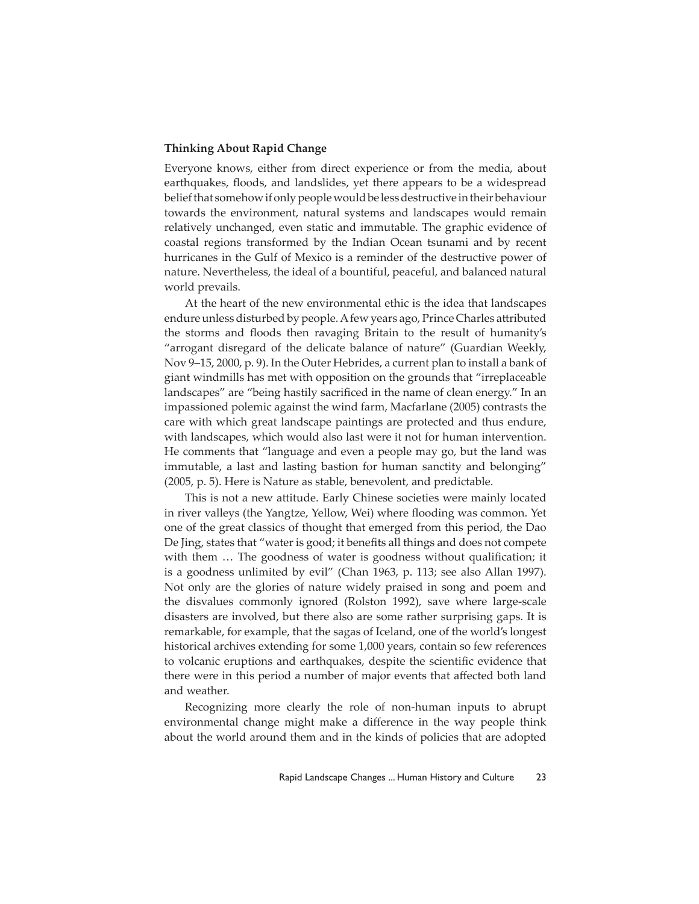# **Thinking About Rapid Change**

Everyone knows, either from direct experience or from the media, about earthquakes, floods, and landslides, yet there appears to be a widespread belief that somehow if only people would be less destructive in their behaviour towards the environment, natural systems and landscapes would remain relatively unchanged, even static and immutable. The graphic evidence of coastal regions transformed by the Indian Ocean tsunami and by recent hurricanes in the Gulf of Mexico is a reminder of the destructive power of nature. Nevertheless, the ideal of a bountiful, peaceful, and balanced natural world prevails.

At the heart of the new environmental ethic is the idea that landscapes endure unless disturbed by people. A few years ago, Prince Charles attributed the storms and floods then ravaging Britain to the result of humanity's "arrogant disregard of the delicate balance of nature" (Guardian Weekly, Nov 9–15, 2000, p. 9). In the Outer Hebrides, a current plan to install a bank of giant windmills has met with opposition on the grounds that "irreplaceable landscapes" are "being hastily sacrificed in the name of clean energy." In an impassioned polemic against the wind farm, Macfarlane (2005) contrasts the care with which great landscape paintings are protected and thus endure, with landscapes, which would also last were it not for human intervention. He comments that "language and even a people may go, but the land was immutable, a last and lasting bastion for human sanctity and belonging" (2005, p. 5). Here is Nature as stable, benevolent, and predictable.

This is not a new attitude. Early Chinese societies were mainly located in river valleys (the Yangtze, Yellow, Wei) where flooding was common. Yet one of the great classics of thought that emerged from this period, the Dao De Jing, states that "water is good; it benefits all things and does not compete with them ... The goodness of water is goodness without qualification; it is a goodness unlimited by evil" (Chan 1963, p. 113; see also Allan 1997). Not only are the glories of nature widely praised in song and poem and the disvalues commonly ignored (Rolston 1992), save where large-scale disasters are involved, but there also are some rather surprising gaps. It is remarkable, for example, that the sagas of Iceland, one of the world's longest historical archives extending for some 1,000 years, contain so few references to volcanic eruptions and earthquakes, despite the scientific evidence that there were in this period a number of major events that affected both land and weather.

Recognizing more clearly the role of non-human inputs to abrupt environmental change might make a difference in the way people think about the world around them and in the kinds of policies that are adopted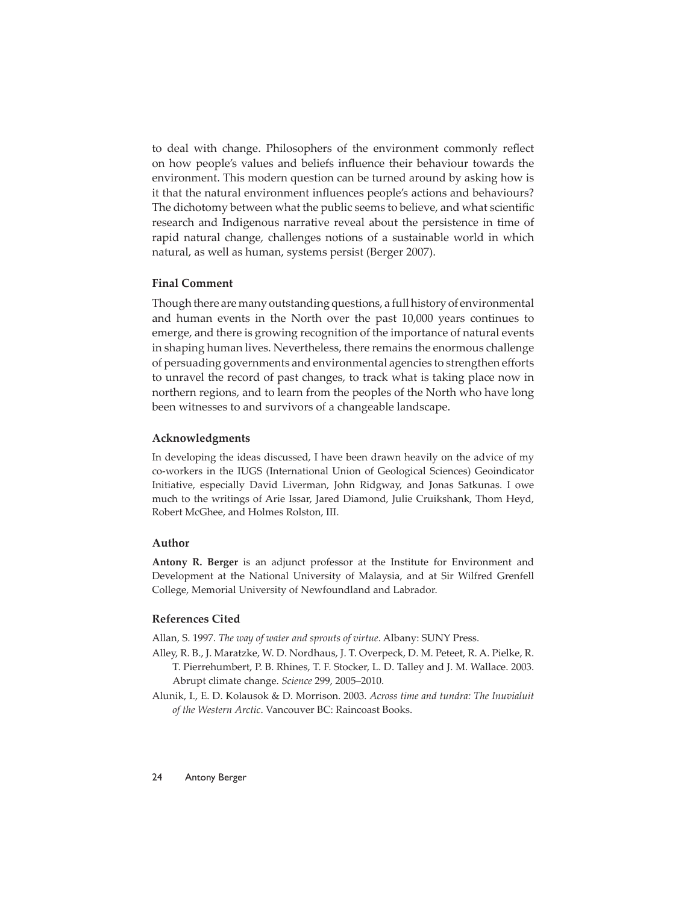to deal with change. Philosophers of the environment commonly reflect on how people's values and beliefs influence their behaviour towards the environment. This modern question can be turned around by asking how is it that the natural environment influences people's actions and behaviours? The dichotomy between what the public seems to believe, and what scientific research and Indigenous narrative reveal about the persistence in time of rapid natural change, challenges notions of a sustainable world in which natural, as well as human, systems persist (Berger 2007).

## **Final Comment**

Though there are many outstanding questions, a full history of environmental and human events in the North over the past 10,000 years continues to emerge, and there is growing recognition of the importance of natural events in shaping human lives. Nevertheless, there remains the enormous challenge of persuading governments and environmental agencies to strengthen efforts to unravel the record of past changes, to track what is taking place now in northern regions, and to learn from the peoples of the North who have long been witnesses to and survivors of a changeable landscape.

#### **Acknowledgments**

In developing the ideas discussed, I have been drawn heavily on the advice of my co-workers in the IUGS (International Union of Geological Sciences) Geoindicator Initiative, especially David Liverman, John Ridgway, and Jonas Satkunas. I owe much to the writings of Arie Issar, Jared Diamond, Julie Cruikshank, Thom Heyd, Robert McGhee, and Holmes Rolston, III.

#### **Author**

**Antony R. Berger** is an adjunct professor at the Institute for Environment and Development at the National University of Malaysia, and at Sir Wilfred Grenfell College, Memorial University of Newfoundland and Labrador.

### **References Cited**

Allan, S. 1997. *The way of water and sprouts of virtue*. Albany: SUNY Press.

- Alley, R. B., J. Maratzke, W. D. Nordhaus, J. T. Overpeck, D. M. Peteet, R. A. Pielke, R. T. Pierrehumbert, P. B. Rhines, T. F. Stocker, L. D. Talley and J. M. Wallace. 2003. Abrupt climate change. *Science* 299, 2005–2010.
- Alunik, I., E. D. Kolausok & D. Morrison. 2003. *Across time and tundra: The Inuvialuit of the Western Arctic*. Vancouver BC: Raincoast Books.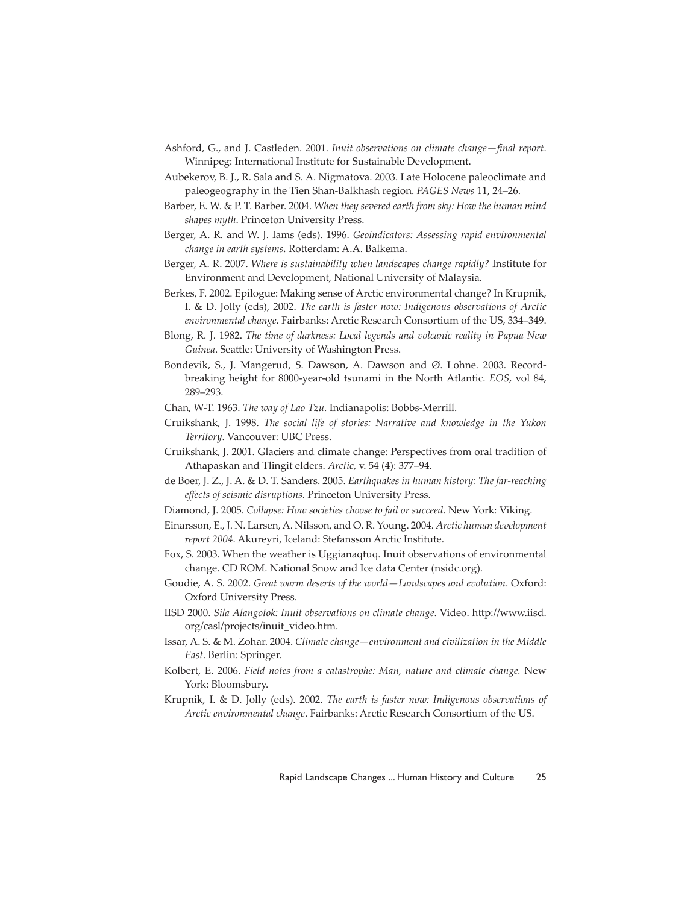- Ashford, G., and J. Castleden. 2001. *Inuit observations on climate change—final report*. Winnipeg: International Institute for Sustainable Development.
- Aubekerov, B. J., R. Sala and S. A. Nigmatova. 2003. Late Holocene paleoclimate and paleogeography in the Tien Shan-Balkhash region. *PAGES News* 11, 24–26.
- Barber, E. W. & P. T. Barber. 2004. *When they severed earth from sky: How the human mind shapes myth*. Princeton University Press.
- Berger, A. R. and W. J. Iams (eds). 1996. *Geoindicators: Assessing rapid environmental change in earth systems*. Rotterdam: A.A. Balkema.
- Berger, A. R. 2007. *Where is sustainability when landscapes change rapidly?* Institute for Environment and Development, National University of Malaysia.
- Berkes, F. 2002. Epilogue: Making sense of Arctic environmental change? In Krupnik, I. & D. Jolly (eds), 2002. *The earth is faster now: Indigenous observations of Arctic environmental change*. Fairbanks: Arctic Research Consortium of the US, 334–349.
- Blong, R. J. 1982. *The time of darkness: Local legends and volcanic reality in Papua New*  Guinea. Seattle: University of Washington Press.
- Bondevik, S., J. Mangerud, S. Dawson, A. Dawson and Ø. Lohne. 2003. Recordbreaking height for 8000-year-old tsunami in the North Atlantic. *EOS*, vol 84, 289–293.
- Chan, W-T. 1963. *The way of Lao Tzu*. Indianapolis: Bobbs-Merrill.
- Cruikshank, J. 1998. *The social life of stories: Narrative and knowledge in the Yukon Territory*. Vancouver: UBC Press.
- Cruikshank, J. 2001. Glaciers and climate change: Perspectives from oral tradition of Athapaskan and Tlingit elders. *Arctic*, v. 54 (4): 377–94.
- de Boer, J. Z., J. A. & D. T. Sanders. 2005. *Earthquakes in human history: The far-reaching eff ects of seismic disruptions*. Princeton University Press.
- Diamond, J. 2005. *Collapse: How societies choose to fail or succeed*. New York: Viking.
- Einarsson, E., J. N. Larsen, A. Nilsson, and O. R. Young. 2004. *Arctic human development report 2004*. Akureyri, Iceland: Stefansson Arctic Institute.
- Fox, S. 2003. When the weather is Uggianaqtuq. Inuit observations of environmental change. CD ROM. National Snow and Ice data Center (nsidc.org).
- Goudie, A. S. 2002. *Great warm deserts of the world—Landscapes and evolution*. Oxford: Oxford University Press.
- IISD 2000. *Sila Alangotok: Inuit observations on climate change*. Video. http://www.iisd. org/casl/projects/inuit\_video.htm.
- Issar, A. S. & M. Zohar. 2004. *Climate change—environment and civilization in the Middle East*. Berlin: Springer.
- Kolbert, E. 2006. *Field notes from a catastrophe: Man, nature and climate change.* New York: Bloomsbury.
- Krupnik, I. & D. Jolly (eds). 2002. *The earth is faster now: Indigenous observations of Arctic environmental change*. Fairbanks: Arctic Research Consortium of the US.